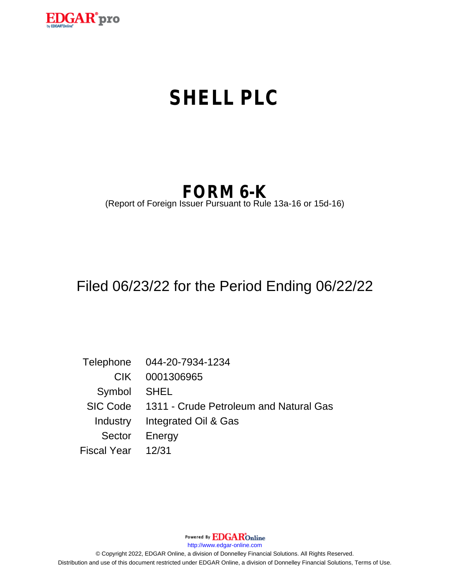

# **SHELL PLC**

## **FORM 6-K**

(Report of Foreign Issuer Pursuant to Rule 13a-16 or 15d-16)

## Filed 06/23/22 for the Period Ending 06/22/22

Telephone 044-20-7934-1234 CIK 0001306965 Symbol SHEL SIC Code 1311 - Crude Petroleum and Natural Gas Industry Integrated Oil & Gas Sector Energy Fiscal Year 12/31

Powered By **EDGAR**Online

http://www.edgar-online.com

© Copyright 2022, EDGAR Online, a division of Donnelley Financial Solutions. All Rights Reserved. Distribution and use of this document restricted under EDGAR Online, a division of Donnelley Financial Solutions, Terms of Use.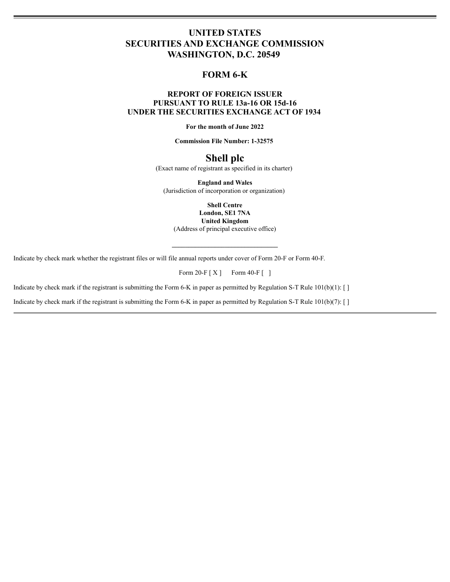## **UNITED STATES SECURITIES AND EXCHANGE COMMISSION** WASHINGTON, D.C. 20549

## FORM 6-K

## **REPORT OF FOREIGN ISSUER** PURSUANT TO RULE 13a-16 OR 15d-16 UNDER THE SECURITIES EXCHANGE ACT OF 1934

For the month of June 2022

**Commission File Number: 1-32575** 

## Shell plc

(Exact name of registrant as specified in its charter)

**England and Wales** (Jurisdiction of incorporation or organization)

> **Shell Centre** London, SE1 7NA

**United Kingdom** 

(Address of principal executive office)

Indicate by check mark whether the registrant files or will file annual reports under cover of Form 20-F or Form 40-F.

Form 20-F  $[X]$  Form 40-F  $[$ ]

Indicate by check mark if the registrant is submitting the Form 6-K in paper as permitted by Regulation S-T Rule 101(b)(1): []

Indicate by check mark if the registrant is submitting the Form 6-K in paper as permitted by Regulation S-T Rule  $101(b)(7)$ : []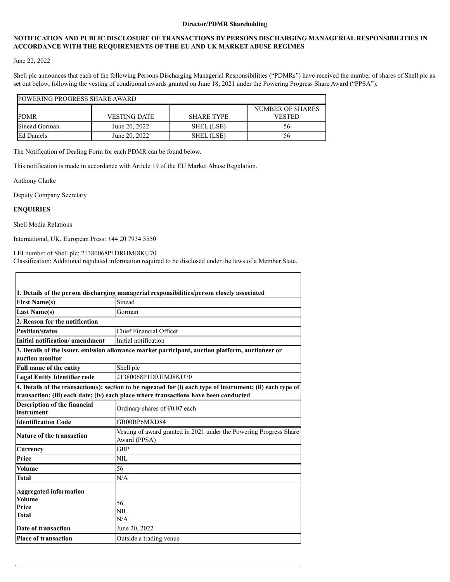#### **Director/PDMR Shareholding**

### **NOTIFICATION AND PUBLIC DISCLOSURE OF TRANSACTIONS BY PERSONS DISCHARGING MANAGERIAL RESPONSIBILITIES IN ACCORDANCE WITH THE REQUIREMENTS OF THE EU AND UK MARKET ABUSE REGIMES**

### June 22, 2022

Shell plc announces that each of the following Persons Discharging Managerial Responsibilities ("PDMRs") have received the number of shares of Shell plc as set out below, following the vesting of conditional awards granted on June 18, 2021 under the Powering Progress Share Award ("PPSA").

| <b>POWERING PROGRESS SHARE AWARD</b> |                     |                   |                  |  |
|--------------------------------------|---------------------|-------------------|------------------|--|
|                                      |                     |                   | NUMBER OF SHARES |  |
| PDMR                                 | <b>VESTING DATE</b> | <b>SHARE TYPE</b> | <b>VESTED</b>    |  |
| Sinead Gorman                        | June 20, 2022       | SHEL (LSE)        | 56.              |  |
| <b>Ed Daniels</b>                    | June 20, 2022       | SHEL (LSE)        | 56               |  |

The Notification of Dealing Form for each PDMR can be found below.

This notification is made in accordance with Article 19 of the EU Market Abuse Regulation.

Anthony Clarke

Deputy Company Secretary

#### **ENQUIRIES**

Shell Media Relations

International, UK, European Press: +44 20 7934 5550

LEI number of Shell plc: 21380068P1DRHMJ8KU70

Classification: Additional regulated information required to be disclosed under the laws of a Member State.

| 1. Details of the person discharging managerial responsibilities/person closely associated                                                                                                          |                                                                                                  |  |  |
|-----------------------------------------------------------------------------------------------------------------------------------------------------------------------------------------------------|--------------------------------------------------------------------------------------------------|--|--|
| <b>First Name(s)</b>                                                                                                                                                                                | Sinead                                                                                           |  |  |
| <b>Last Name(s)</b>                                                                                                                                                                                 | Gorman                                                                                           |  |  |
| 2. Reason for the notification                                                                                                                                                                      |                                                                                                  |  |  |
| <b>Position/status</b>                                                                                                                                                                              | Chief Financial Officer                                                                          |  |  |
| Initial notification/amendment                                                                                                                                                                      | Initial notification                                                                             |  |  |
| auction monitor                                                                                                                                                                                     | 3. Details of the issuer, emission allowance market participant, auction platform, auctioneer or |  |  |
| <b>Full name of the entity</b>                                                                                                                                                                      | Shell plc                                                                                        |  |  |
| <b>Legal Entity Identifier code</b>                                                                                                                                                                 | 21380068P1DRHMJ8KU70                                                                             |  |  |
| 4. Details of the transaction(s): section to be repeated for (i) each type of instrument; (ii) each type of<br>transaction; (iii) each date; (iv) each place where transactions have been conducted |                                                                                                  |  |  |
| <b>Description of the financial</b><br>instrument                                                                                                                                                   | Ordinary shares of $\epsilon$ 0.07 each                                                          |  |  |
| <b>Identification Code</b>                                                                                                                                                                          | GB00BP6MXD84                                                                                     |  |  |
| <b>Nature of the transaction</b>                                                                                                                                                                    | Vesting of award granted in 2021 under the Powering Progress Share<br>Award (PPSA)               |  |  |
| Currency                                                                                                                                                                                            | <b>GBP</b>                                                                                       |  |  |
| Price                                                                                                                                                                                               | NIL.                                                                                             |  |  |
| <b>Volume</b>                                                                                                                                                                                       | 56                                                                                               |  |  |
| Total                                                                                                                                                                                               | N/A                                                                                              |  |  |
| <b>Aggregated information</b><br><b>Volume</b><br>Price<br>Total                                                                                                                                    | 56<br>NIL<br>N/A                                                                                 |  |  |
| Date of transaction                                                                                                                                                                                 | June 20, 2022                                                                                    |  |  |
| <b>Place of transaction</b>                                                                                                                                                                         | Outside a trading venue                                                                          |  |  |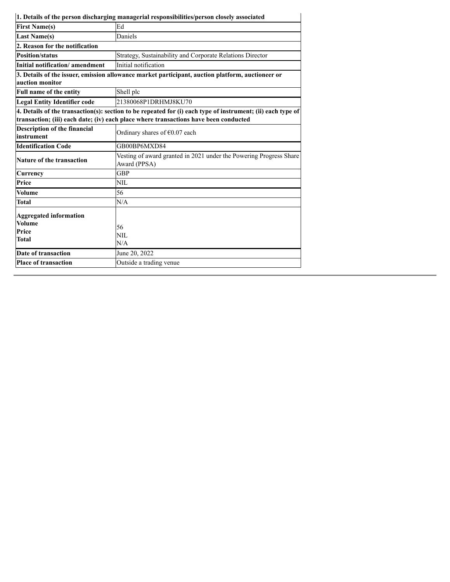|                                                           | 1. Details of the person discharging managerial responsibilities/person closely associated                                                                                                          |  |
|-----------------------------------------------------------|-----------------------------------------------------------------------------------------------------------------------------------------------------------------------------------------------------|--|
| <b>First Name(s)</b>                                      | Ed                                                                                                                                                                                                  |  |
| <b>Last Name(s)</b>                                       | Daniels                                                                                                                                                                                             |  |
| 2. Reason for the notification                            |                                                                                                                                                                                                     |  |
| <b>Position/status</b>                                    | Strategy, Sustainability and Corporate Relations Director                                                                                                                                           |  |
| Initial notification/amendment                            | Initial notification                                                                                                                                                                                |  |
| auction monitor                                           | 3. Details of the issuer, emission allowance market participant, auction platform, auctioneer or                                                                                                    |  |
| Full name of the entity                                   | Shell plc                                                                                                                                                                                           |  |
| <b>Legal Entity Identifier code</b>                       | 21380068P1DRHMJ8KU70                                                                                                                                                                                |  |
|                                                           | 4. Details of the transaction(s): section to be repeated for (i) each type of instrument; (ii) each type of<br>transaction; (iii) each date; (iv) each place where transactions have been conducted |  |
| <b>Description of the financial</b><br>instrument         | Ordinary shares of $\epsilon$ 0.07 each                                                                                                                                                             |  |
| <b>Identification Code</b>                                | GB00BP6MXD84                                                                                                                                                                                        |  |
| <b>Nature of the transaction</b>                          | Vesting of award granted in 2021 under the Powering Progress Share<br>Award (PPSA)                                                                                                                  |  |
| Currency                                                  | <b>GBP</b>                                                                                                                                                                                          |  |
| Price                                                     | <b>NIL</b>                                                                                                                                                                                          |  |
| Volume                                                    | 56                                                                                                                                                                                                  |  |
| Total                                                     | N/A                                                                                                                                                                                                 |  |
| <b>Aggregated information</b><br>Volume<br>Price<br>Total | 56<br>NIL.<br>N/A                                                                                                                                                                                   |  |
| Date of transaction                                       | June 20, 2022                                                                                                                                                                                       |  |
| <b>Place of transaction</b>                               | Outside a trading venue                                                                                                                                                                             |  |
|                                                           |                                                                                                                                                                                                     |  |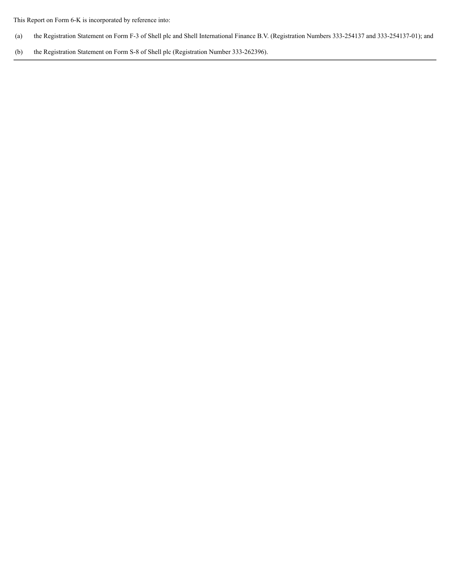This Report on Form 6-K is incorporated by reference into:

- (a) the Registration Statement on Form F-3 of Shell plc and Shell International Finance B.V. (Registration Numbers 333-254137 and 333-254137-01); and
- (b) the Registration Statement on Form S-8 of Shell plc (Registration Number 333-262396).